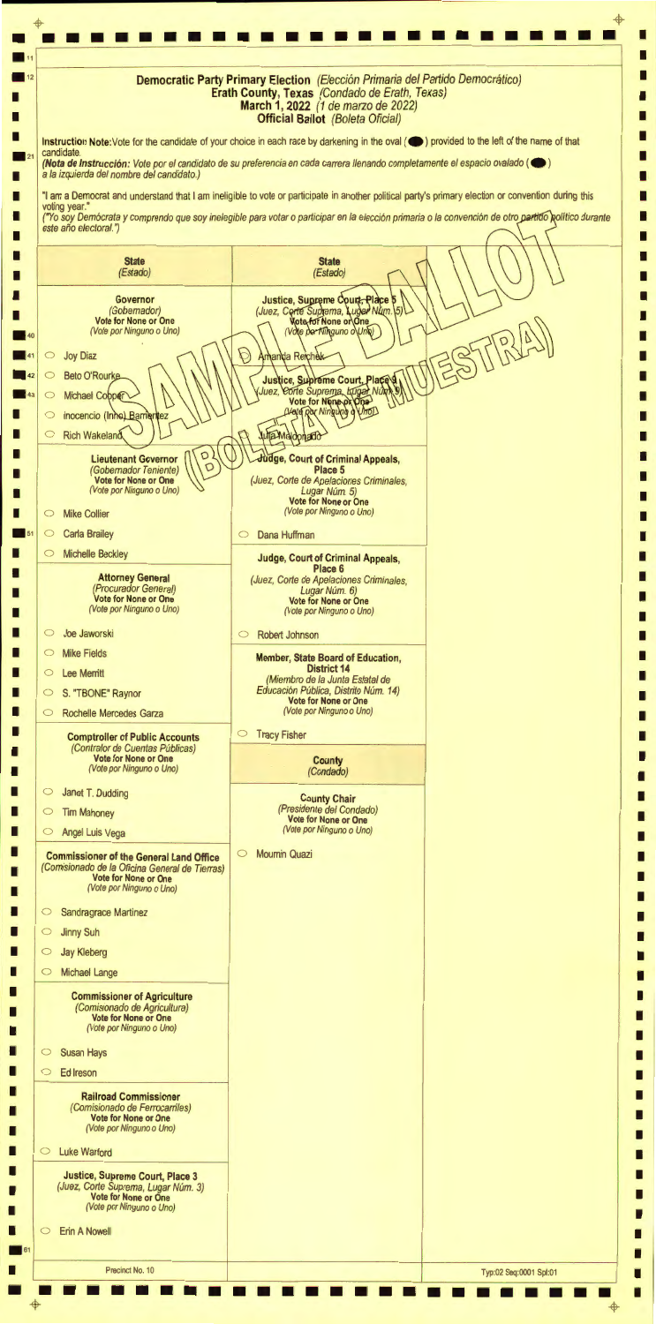• • • • • • • • • • • • • • • • • • • • • • • • • • • I 1------ ---- -------------- ----------------------; I . 11 I **Democratic Party Primary Election** (Elección Primaria del Partido Democrático)  $\blacksquare$  12 **Erath County, Texas** (Condado de Erath, Texas) I I **March 1, 2022** (1 de marzo de 2022) I **Official Ballot** (Boleta Oficial) I I I **Instruction Note:Vote** for the candidate of your choice in each race by darkening in the oval ( **e )** provided to the left of the name of that candidate. I **(Nota de lnstrucci6n:** Vote por el candidato de su preferencia en cada carrera 1/enando completamente el espacio ova/ado ( **e )**  a la izquierda def nombre def candidato.) I I "I am a Democrat and understand that I am ineligible to vote or participate in another political party's primary election or convention during this I I voting year." I I ("Yo soy Demócrata y comprendo que soy inelegible para votar o participar en la elección primaria o la convención de otro partido político durante este año electoral.") I I I I **State State** (Estado) (Estado) I I I Justice, Supreme Court, Place 5 I **Governor**  (Gobemador) I I **Vote for None or One**  (Vote por Ninguno o Uno) (Vote portVinguno o Uno) I 40  $\circ$ Joy Diaz Amanda Reichek I **. 41 Beto O'Rourke**  $\circ$ I **. 42**  Justice, Supreme Court, Place Juez, Corte Suprema, Kugał Nul  $\circ$ Michael Cobper I **. 43**  Vote Rox Ningung UmoD I Inocencio (Inhe) Barrientez  $\bigcirc$  $\Box$ D **Witta Maldonado** I  $\circ$ **Rich Wakeland** I Lieutenant Governor<br>(Gobernador Teniente) I I **ge, Court of Criminal Appeals, Lieutenant Governor Place 5**  I I **Vote for None or One**  (Juez, Corte de Ape/aciones Criminales, (Vote por Ninguno o Uno) Lugar Núm. 5) I I **Vote for None or One**  (Vote por Ninguno o Uno) I **Mike Collier**  $\circ$ I  $\circ$ Carla Brailey 0 Dana Huffman I  $\blacksquare$  51 I  $\circ$ Michelle Beckley I **Judge, Court of Criminal Appeals, Place 6**  I I **Attorney General**  (Juez, Corte de Apelaciones Criminales, (Procurador General) Lugar Núm. 6) I I **Vote for None or One Vote for None or One**  (Vote por Ninguno o Uno) (Vote por Ninguno o Uno) I I I Joe Jaworski  $\circ$ 0 Robert Johnson I I Mike Fields  $\subset$ I **Member, State Board of Education, District 14**  I  $\circ$ Lee Merritt I (Miembro de la Junta Estatal de Educación Pública, Distrito Núm. 14) S. "TBONE" Raynor I  $\circ$ I **Vote for None or One**  (Vote por Ninguno o Uno) I  $\bigcirc$ Rochelle Mercedes Garza I I 0 Tracy Fisher **Comptroller of Public Accounts**   $\Box$ (Contralor de Cuentas Públicas) I I **Vote for None or One**  <sup>~</sup>... ~. **County**  (Vote por Ninguno o Uno) I (Condado) I I Janet T. Dudding  $\circ$ I **County Chair**  (Presidente def Condado) I  $\circ$ Tim Mahoney I **Vote for None or One**  (Vote por Ninguno o Uno) I  $\circ$ Angel Luis Vega I I 0 Moumin Quazi **Commissioner of the General Land Office**  I (Comisionado de la Oficina General de Tierras) I I **Vote for None or One**  (Vote por Ninguno o Uno) I I I 0 Sandragrace Martinez I I 0 Jinny Suh I I 0 Jay Kleberg I

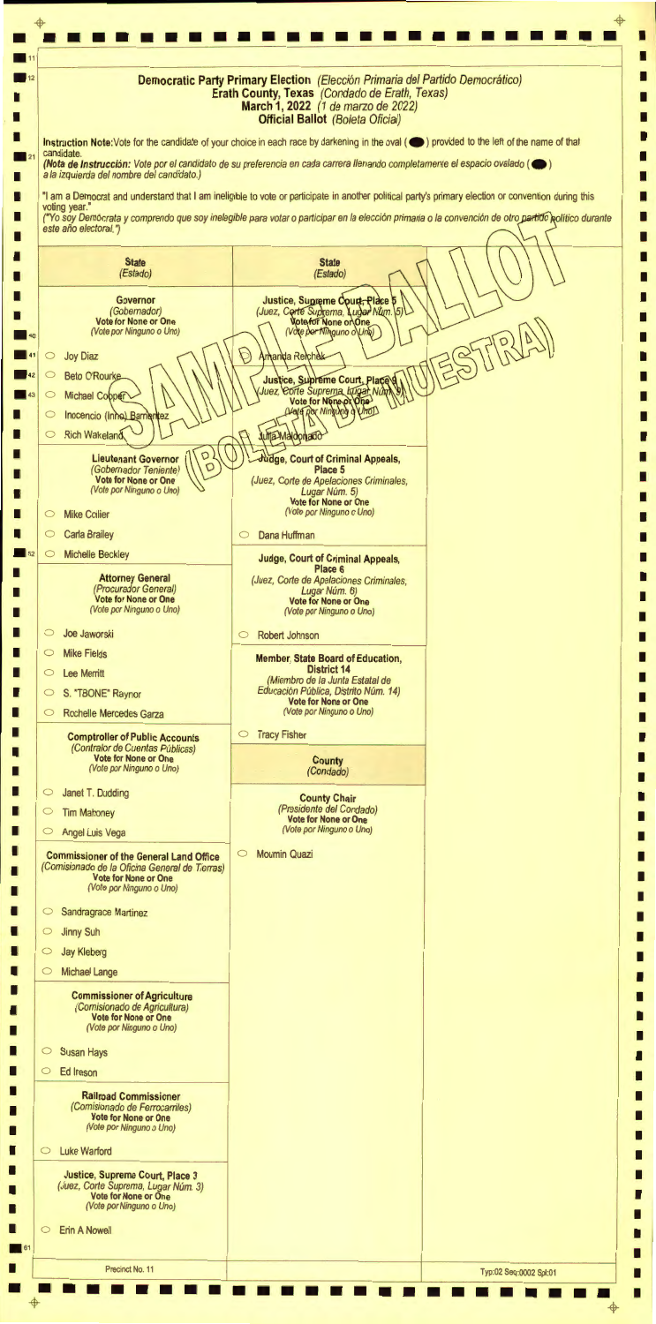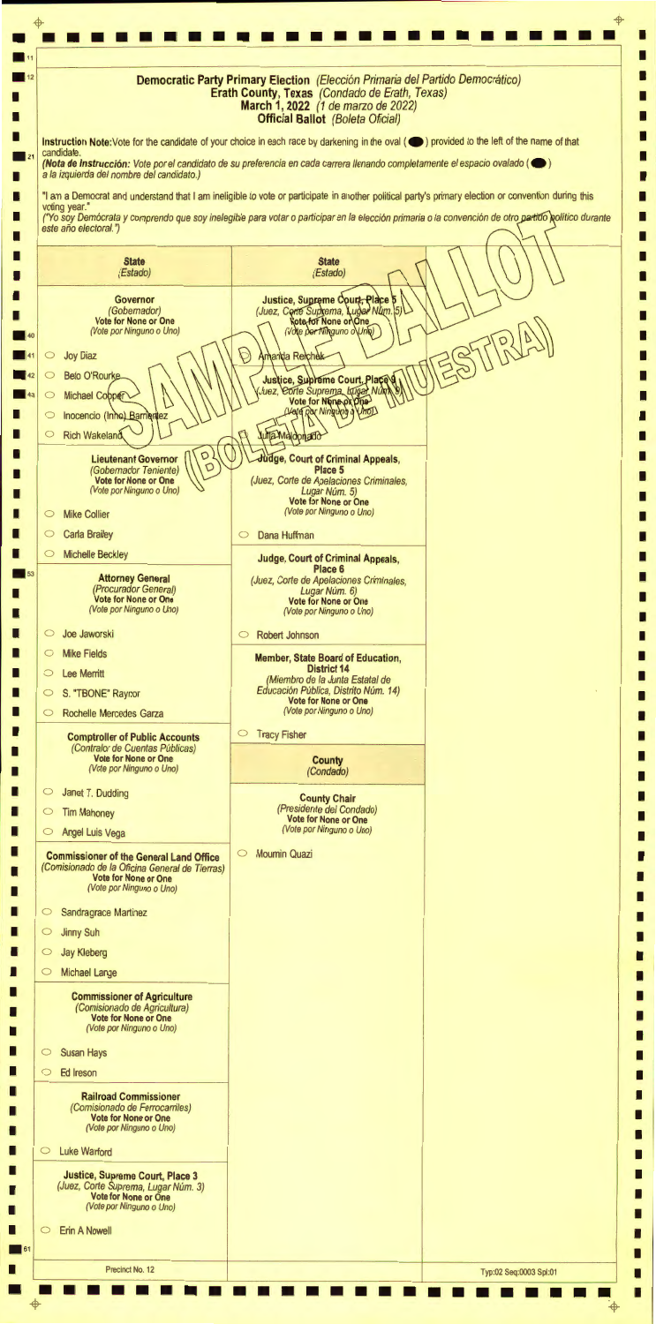+<br>••••••••••••••••••••••••••••••  $\frac{+}{+}$ • ~--------------------- --------- --------------1 . <sup>12</sup> **Democratic Party Primary Election** (Elecci6n Primaria def Partido Democratico) I I . 11 I **Erath County, Texas** (Condado de Erath, Texas) I I **March 1, 2022** (1 de marzo de 2022) I I **Official Ballot** (Boleta Oficial) I I **Instruction Note:Vote** for the candidate of your choice in each race by darkening in the oval ( **e )** provided to the left of the name of that candidate. I **(Nota de lnstruccion:** Vote por el candidato de su preferencia en cada carrera 1/enando completamente el espacio ova/ado ( **e )**  a la izquierda de/ nombre de/ candidato.) I I "I am a Democrat and understand that I am ineligible to vote or participate in another political party's primary election or convention during this I I voting year." I ("Yo soy Demócrata y comprendo que soy inelegible para votar o participar en la elección primaria o la convención de otro partido político durante I este año electoral.") I I I I **State State** (Estado) (Estado) I I Justice, Supreme Court, Place 5 I I **Governor**  (Gobemador) I I **Vote for None or One**  (Vote por Ninguno o Uno) (Vote por Ninguno o Uno) I  $\circ$  Joy Diaz Amanda Reichek I **Beto O'Rourke**  $\circ$ I Justice, Supreme Court, Place Juez, Corte Suprema, Kugał Nuk Michael Copper  $\circ$ I Vote por Ningura a Vhol Inocencio (Inhe) Barrientez  $\circ$ I **Willia Maldonado Rich Wakeland**  $\circ$ I Lieutenant Governor  $\left(\begin{matrix} 0 \\ 0 \end{matrix}\right)$  **Judge, Court of Criminal Appeals, Gobernador Teniente** I **(Gobernador Teniente)**<br>**Vote for None or One** I **Vote for None or One** (Juez, Corte de Apelaciones Criminales, (Vote por Ninguno o Uno) I **Vote for None or One**  I 0 Mike Collier (Vote por Ninguno o Uno) I **Carla Brailey Carla Brailey 1989** I **Example 3**<br> **Example 3**<br> **Example 3**<br> **Example 3**<br> **Example 3**<br> **Example 3**<br> **Example 3**<br> **Example 3**<br> **Example 3**<br> **Example 3**<br> **Example 3**<br> **Example 3**<br> **Example 3**<br> **Example 3**<br> **Example 3**<br> **Example 3**<br> **Example 3 Example Beckley Judge, Court of Criminal Appeals,**<br>Place 6 I **Attorney General** *(Juez, Corte de Apelaciones Criminales, Procurador General)**(Juez, Corte de Apelaciones Criminales, Lugar Núm. 6)* I I **If Yote for None or One Change Access** Vote for None or One Vote for None or One Vote for None or One Vote por Ninguno o (Vote por Ninguno o Uno) I O Joe Jaworski **Die Groot van die Staat van die Robert Johnson** I □ Mike Fields<br> **Member, State Board of Education,**<br>
District 14 I I 0 Lee Merritt **District 14**  (Miembro de la Junta Estala/ de I I 0 S. "TBONE" Raynor Educaci6n Publica, Distrito Num. 14) I **Vote for None or One**<br>(Vote por Ninguno o Uno) **In Rochelle Mercedes Garza** I **Comptroller of Public Accounts 0 Tracy Fisher** I (Contralor de Cuentas Públicas) I **Vote for None or One County** I (Vote por Ninguno o Uno) (Condado) I **I Duanet T. Dudding County Chair County Chair** I **I'm Mahoney (Presidente del Condado)** I **Vote for None or One**  O Angel Luis Vega (Vote por Ninguno o Uno) I **Commissioner of the General Land Office | C Moumin Quazi** I (Comisionado de la Oficina General de Tierras) **Vote for None or One**  I I (Vote por Ninguno o Uno) I  $\circ$  Sandragrace Martinez I  $\circ$  Jinny Suh I  $O$  Jay Kleberg I

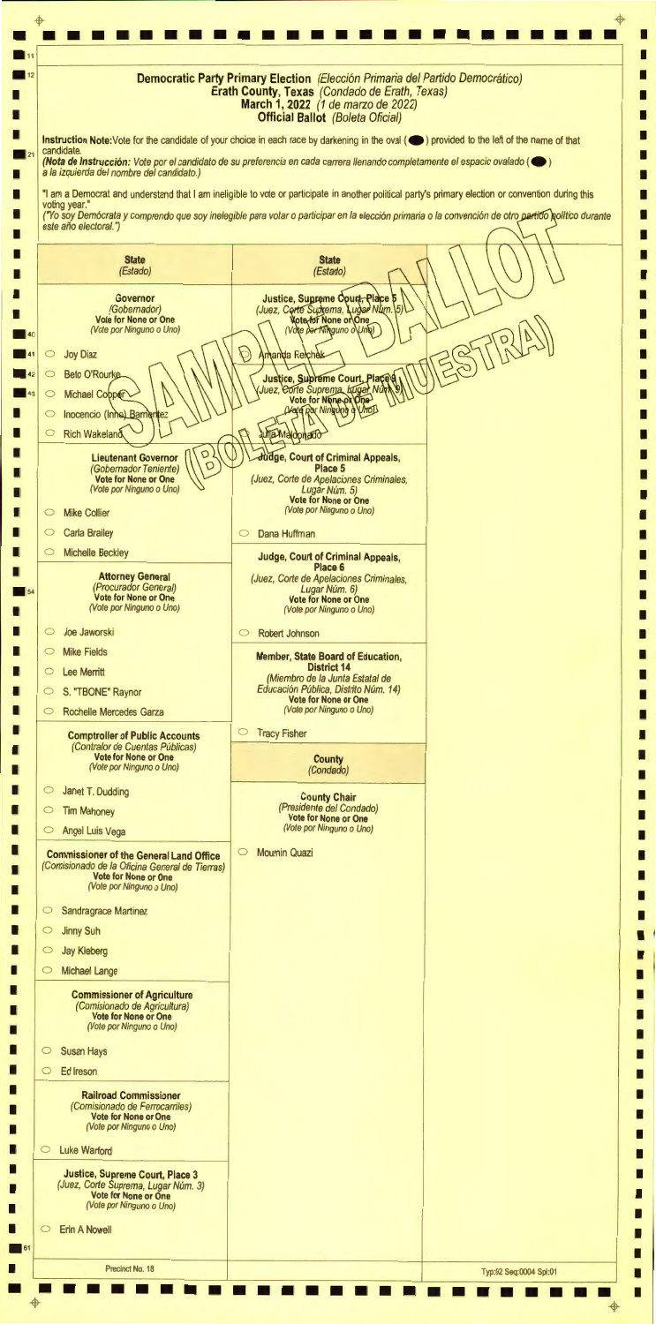•<mark>•••••••••••••••••••••••••</mark>  $+$  $+$ • i<br>"I  $\blacksquare$ I **Democratic Party Primary Election** (Elección Primaria del Partido Democrático) **Erath County, Texas** (Condado de Erath, Texas) I I **March 1, 2022** (1 de marzo de 2022) I **Official Ballot** (Boleta Oficial) I I Instruction Note:Vote for the candidate of your choice in each race by darkening in the oval ( $\bigcirc$ ) provided to the left of the name of that candidate. I **(Nota de lnstrucci6n:** Vote por el candidato de su preferencia en cada carrera 1/enando completamente el espacio ova/ado ( **<sup>e</sup> )** a la izquierda de/ nombre de/ candidato.) <sup>I</sup> I I "I am a Democrat and understand that I am ineligible to vote or participate in another political party's primary election or convention during this I voting year." I ("Yo soy Demócrata y comprendo que soy inelegible para votar o participar en la elección primaria o la convención de otro partido político durante I este año electoral.") I П I I **State State** (Estado) (Estado) I I I Justice, Supreme Court, Place 5<br>(Juez, Corte Suprema, Lugar Num. 5)<br>Note for None or One I **Governor**  (Gobemador) I I **Vote for None or One**  (Vote portVinguno o Uno) (Vote par Ninguno o Uno) I  $O$  Joy Diaz Amanda Reichak I **. 42** 0 **Beto O'Rourke** Justice, Supreme Court, Plaçe<br>Juez, Corte Suprema, bugar Nun I 43  $\circ$ Michael Cobper I Vote por Ningung UmoD  $\blacksquare$  |  $\subset$ Inocencio (Inne) Barrientez I **Julia Maldonado Rich Wakeland**  $\circ$ I **Lieutenant Governor**  $\left(\bigcap_{\square} \bigcap_{\square} \bigcap_{\square}$ I **ge, Court of Criminal Appeals,**  (Gobernador Teniente) **Place 5**  I **Vote for None or One**  (Juez, Corte de Apelaciones Criminales, I (Vote par Ninguno o Uno) Lugar Núm. 5) I **Vote for None or One**  (Vote par Ninguno o Uno)  $\circ$  Mike Collier I  $\circ$  Carla Brailey 0 Dana Huffman I  $\circ$  Michelle Beckley **Judge, Court of Criminal Appeals,**  I **Place 6 Example 34 Attorney General Attorney General**<br>
34 (*Procurador General*)<br>
2015 Vote for None or One I (Juez, Corte de Apelaciones Crimina/es, Lugar Núm. 6) I **Vote for None or One Vote for None or One**  I (Vote par Ninguno o Uno) (Vote par Ninguno o Uno) I O Joe Jaworski 0 Robert Johnson I  $\circ$  Mike Fields I **Member, State Board of Education, District 14 C** Lee Merritt I (Miembro de la Junta Estatal de Educación Pública, Distrito Núm. 14) ○ S. "TBONE" Raynor I **Vote for None or One**  (Vote par Ninguno o Uno) I 0 Rochelle Mercedes Garza I 0 Tracy Fisher **Comptroller of Public Accounts** I (Contralor de Cuentas Públicas) I **Vote for None or One County**  I (Vote par Ninguno o Uno) (Condado) I  $\circ$  Janet T. Dudding I **County Chair**  (Presidente de/ Condado)  $\circ$  Tim Mahoney I **Vote for None or One**  (Vote par Ninguno o Uno)  $\circ$  Angel Luis Vega I 0 Moumin Quazi **Commissioner of the General Land Office** I (Comisionado de la Oficina General de Tierras) **Vote for None or One**  I I (Vote par Ninguno o Uno) I  $\circ$  Sandragrace Martinez I  $\circ$  Jinny Suh I ' .... **. •i1 ..**   $O$  Jay Kleberg